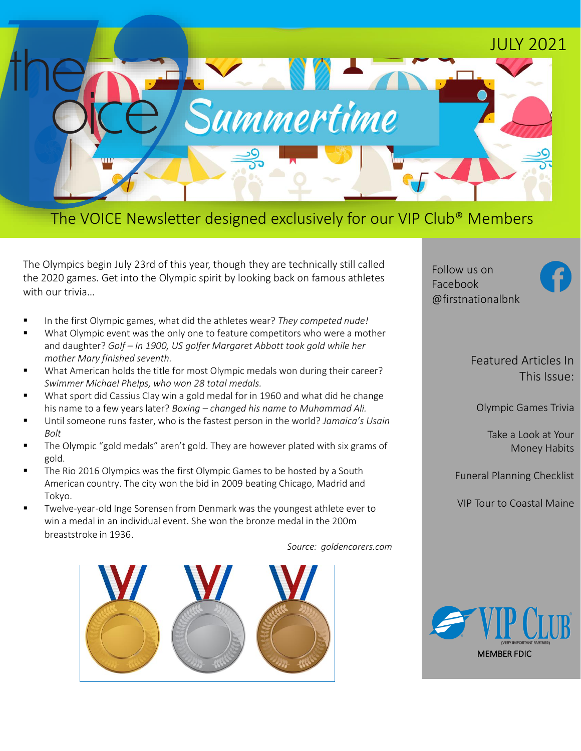

### The VOICE Newsletter designed exclusively for our VIP Club® Members

The Olympics begin July 23rd of this year, though they are technically still called the 2020 games. Get into the Olympic spirit by looking back on famous athletes with our trivia…

- In the first Olympic games, what did the athletes wear? *They competed nude!*
- What Olympic event was the only one to feature competitors who were a mother and daughter? *Golf – In 1900, US golfer Margaret Abbott took gold while her mother Mary finished seventh.*
- What American holds the title for most Olympic medals won during their career? *Swimmer Michael Phelps, who won 28 total medals.*
- What sport did Cassius Clay win a gold medal for in 1960 and what did he change his name to a few years later? *Boxing – changed his name to Muhammad Ali.*
- Until someone runs faster, who is the fastest person in the world? *Jamaica's Usain Bolt*
- The Olympic "gold medals" aren't gold. They are however plated with six grams of gold.
- The Rio 2016 Olympics was the first Olympic Games to be hosted by a South American country. The city won the bid in 2009 beating Chicago, Madrid and Tokyo.
- Twelve-year-old Inge Sorensen from Denmark was the youngest athlete ever to win a medal in an individual event. She won the bronze medal in the 200m breaststroke in 1936.

*Source: goldencarers.com*



Follow us on Facebook @firstnationalbnk

> Featured Articles In This Issue:

Olympic Games Trivia

Take a Look at Your Money Habits

Funeral Planning Checklist

VIP Tour to Coastal Maine

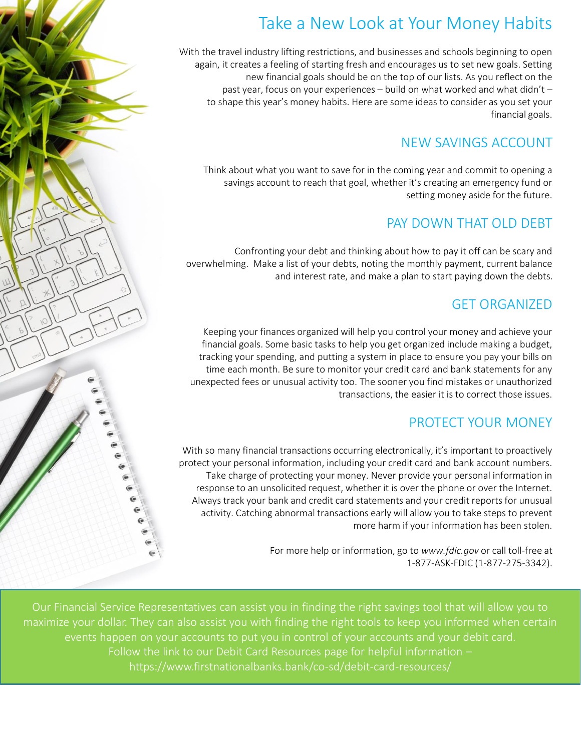## Take a New Look at Your Money Habits

With the travel industry lifting restrictions, and businesses and schools beginning to open again, it creates a feeling of starting fresh and encourages us to set new goals. Setting new financial goals should be on the top of our lists. As you reflect on the past year, focus on your experiences – build on what worked and what didn't – to shape this year's money habits. Here are some ideas to consider as you set your financial goals.

#### NEW SAVINGS ACCOUNT

Think about what you want to save for in the coming year and commit to opening a savings account to reach that goal, whether it's creating an emergency fund or setting money aside for the future.

#### PAY DOWN THAT OLD DEBT

Confronting your debt and thinking about how to pay it off can be scary and overwhelming. Make a list of your debts, noting the monthly payment, current balance and interest rate, and make a plan to start paying down the debts.

#### GET ORGANIZED

Keeping your finances organized will help you control your money and achieve your financial goals. Some basic tasks to help you get organized include making a budget, tracking your spending, and putting a system in place to ensure you pay your bills on time each month. Be sure to monitor your credit card and bank statements for any unexpected fees or unusual activity too. The sooner you find mistakes or unauthorized transactions, the easier it is to correct those issues.

#### PROTECT YOUR MONEY

With so many financial transactions occurring electronically, it's important to proactively protect your personal information, including your credit card and bank account numbers. Take charge of protecting your money. Never provide your personal information in response to an unsolicited request, whether it is over the phone or over the Internet. Always track your bank and credit card statements and your credit reports for unusual activity. Catching abnormal transactions early will allow you to take steps to prevent more harm if your information has been stolen.

> For more help or information, go to *www.fdic.gov* or call toll-free at 1-877-ASK-FDIC (1-877-275-3342).

Our Financial Service Representatives can assist you in finding the right savings tool that will allow you to maximize your dollar. They can also assist you with finding the right tools to keep you informed when certain events happen on your accounts to put you in control of your accounts and your debit card. Follow the link to our Debit Card Resources page for helpful information – https://www.firstnationalbanks.bank/co-sd/debit-card-resources/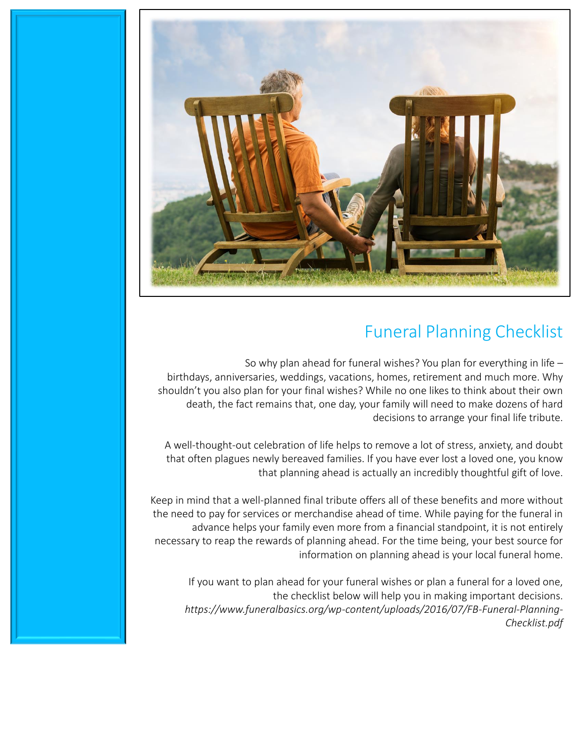

## Funeral Planning Checklist

So why plan ahead for funeral wishes? You plan for everything in life – birthdays, anniversaries, weddings, vacations, homes, retirement and much more. Why shouldn't you also plan for your final wishes? While no one likes to think about their own death, the fact remains that, one day, your family will need to make dozens of hard decisions to arrange your final life tribute.

A well-thought-out celebration of life helps to remove a lot of stress, anxiety, and doubt that often plagues newly bereaved families. If you have ever lost a loved one, you know that planning ahead is actually an incredibly thoughtful gift of love.

Keep in mind that a well-planned final tribute offers all of these benefits and more without the need to pay for services or merchandise ahead of time. While paying for the funeral in advance helps your family even more from a financial standpoint, it is not entirely necessary to reap the rewards of planning ahead. For the time being, your best source for information on planning ahead is your local funeral home.

If you want to plan ahead for your funeral wishes or plan a funeral for a loved one, the checklist below will help you in making important decisions. *https://www.funeralbasics.org/wp-content/uploads/2016/07/FB-Funeral-Planning-Checklist.pdf*